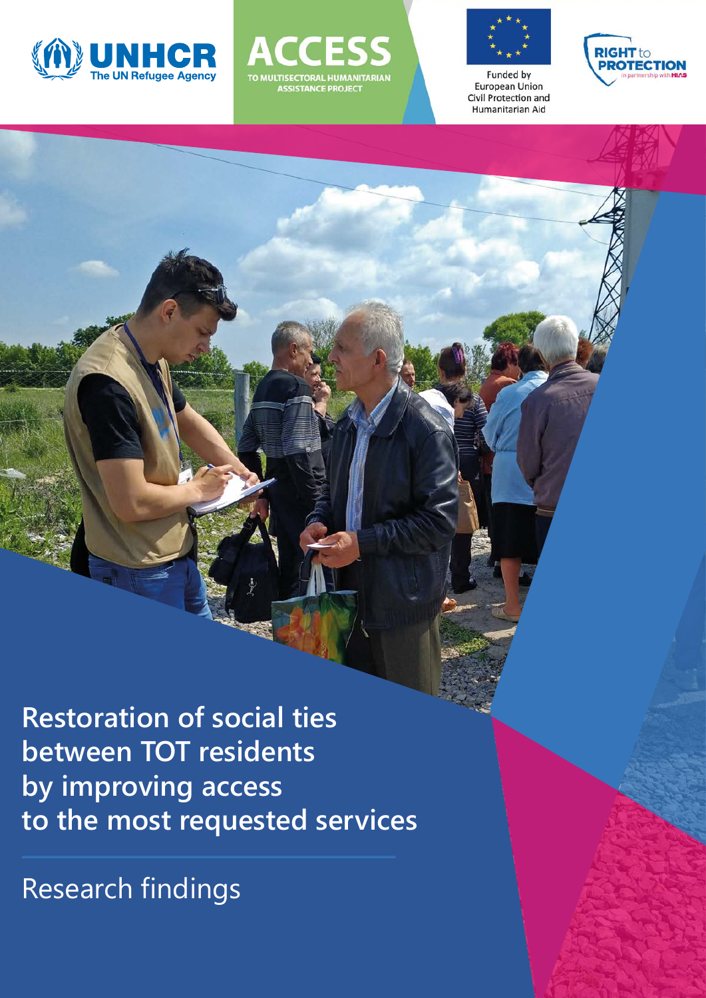





**Funded by European Union** Civil Protection and Humanitarian Aid



**Restoration of social ties between TOT residents by improving access to the most requested services**

Research findings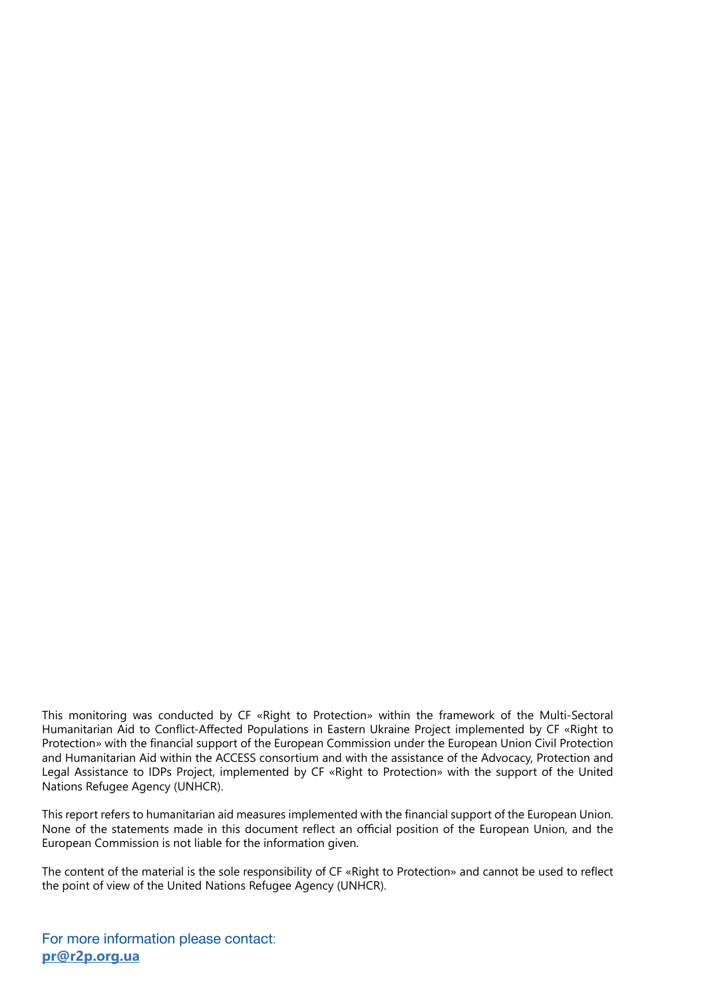This monitoring was conducted by CF «Right to Protection» within the framework of the Multi-Sectoral Humanitarian Aid to Conflict-Affected Populations in Eastern Ukraine Project implemented by CF «Right to Protection» with the financial support of the European Commission under the European Union Civil Protection and Humanitarian Aid within the ACCESS consortium and with the assistance of the Advocacy, Protection and Legal Assistance to IDPs Project, implemented by CF «Right to Protection» with the support of the United Nations Refugee Agency (UNHCR).

This report refers to humanitarian aid measures implemented with the financial support of the European Union. None of the statements made in this document reflect an official position of the European Union, and the European Commission is not liable for the information given.

The content of the material is the sole responsibility of CF «Right to Protection» and cannot be used to reflect the point of view of the United Nations Refugee Agency (UNHCR).

For more information please contact: **pr@r2p.org.ua**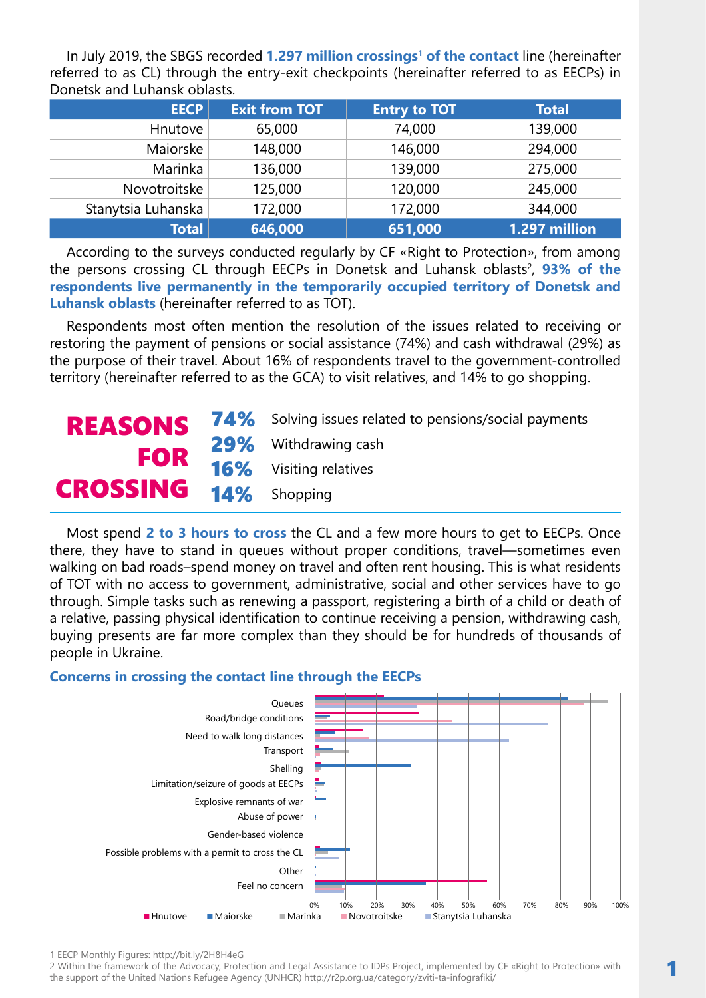In July 2019, the SBGS recorded 1.297 million crossings<sup>1</sup> of the contact line (hereinafter referred to as CL) through the entry-exit checkpoints (hereinafter referred to as EECPs) in Donetsk and Luhansk oblasts.

| <b>EECP</b>        | <b>Exit from TOT</b> | <b>Entry to TOT</b> | <b>Total</b>  |
|--------------------|----------------------|---------------------|---------------|
| Hnutove            | 65,000               | 74,000              | 139,000       |
| Maiorske           | 148,000              | 146,000             | 294,000       |
| Marinka            | 136,000              | 139,000             | 275,000       |
| Novotroitske       | 125,000              | 120,000             | 245,000       |
| Stanytsia Luhanska | 172,000              | 172,000             | 344,000       |
| <b>Total</b>       | 646,000              | 651,000             | 1.297 million |

According to the surveys conducted regularly by CF «Right to Protection», from among the persons crossing CL through EECPs in Donetsk and Luhansk oblasts<sup>2</sup>, **93% of the respondents live permanently in the temporarily occupied territory of Donetsk and Luhansk oblasts** (hereinafter referred to as TOT).

Respondents most often mention the resolution of the issues related to receiving or restoring the payment of pensions or social assistance (74%) and cash withdrawal (29%) as the purpose of their travel. About 16% of respondents travel to the government-controlled territory (hereinafter referred to as the GCA) to visit relatives, and 14% to go shopping.

|                              | REASONS 74% Solving issues related to pensions/social payments |
|------------------------------|----------------------------------------------------------------|
|                              | 29% Withdrawing cash                                           |
| <b>FOR</b>                   | <b>16%</b> Visiting relatives                                  |
| <b>CROSSING 14% Shopping</b> |                                                                |

Most spend **2 to 3 hours to cross** the CL and a few more hours to get to EECPs. Once there, they have to stand in queues without proper conditions, travel—sometimes even walking on bad roads–spend money on travel and often rent housing. This is what residents of TOT with no access to government, administrative, social and other services have to go through. Simple tasks such as renewing a passport, registering a birth of a child or death of a relative, passing physical identification to continue receiving a pension, withdrawing cash, buying presents are far more complex than they should be for hundreds of thousands of people in Ukraine.

### **Concerns in crossing the contact line through the EECPs**



1 EECP Monthly Figures: http://bit.ly/2H8H4eG

2 Within the framework of the Advocacy, Protection and Legal Assistance to IDPs Project, implemented by CF «Right to Protection» with the support of the United Nations Refugee Agency (UNHCR) http://r2p.org.ua/category/zviti-ta-infografiki/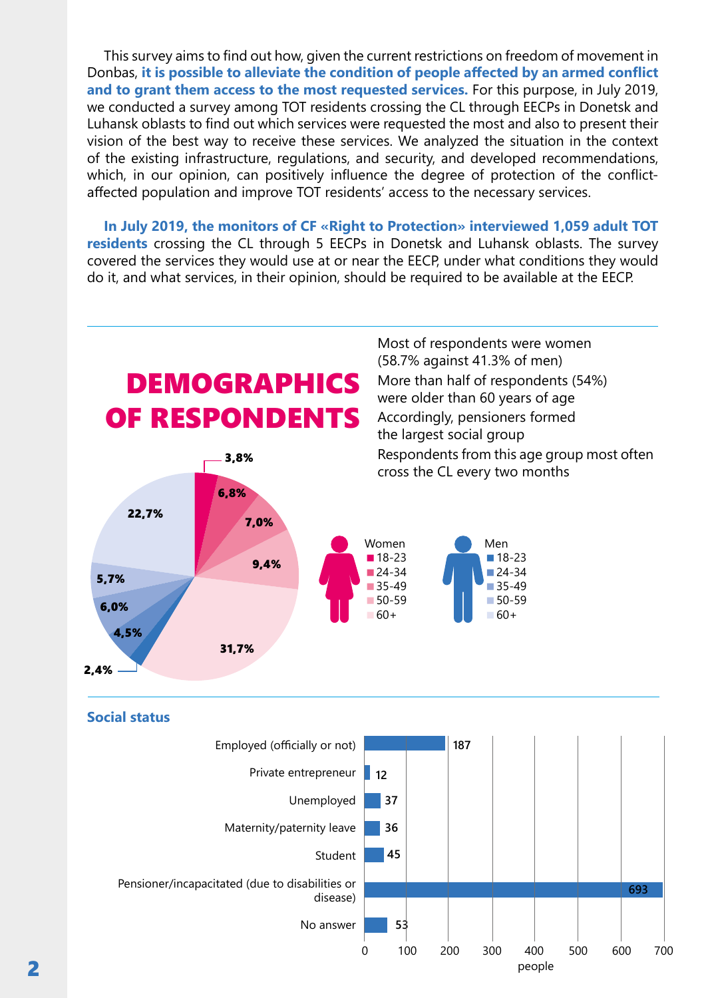This survey aims to find out how, given the current restrictions on freedom of movement in Donbas, **it is possible to alleviate the condition of people affected by an armed conflict and to grant them access to the most requested services.** For this purpose, in July 2019, we conducted a survey among TOT residents crossing the CL through EECPs in Donetsk and Luhansk oblasts to find out which services were requested the most and also to present their vision of the best way to receive these services. We analyzed the situation in the context of the existing infrastructure, regulations, and security, and developed recommendations, which, in our opinion, can positively influence the degree of protection of the conflictaffected population and improve TOT residents' access to the necessary services.

**In July 2019, the monitors of CF «Right to Protection» interviewed 1,059 adult TOT residents** crossing the CL through 5 EECPs in Donetsk and Luhansk oblasts. The survey covered the services they would use at or near the EECP, under what conditions they would do it, and what services, in their opinion, should be required to be available at the EECP.

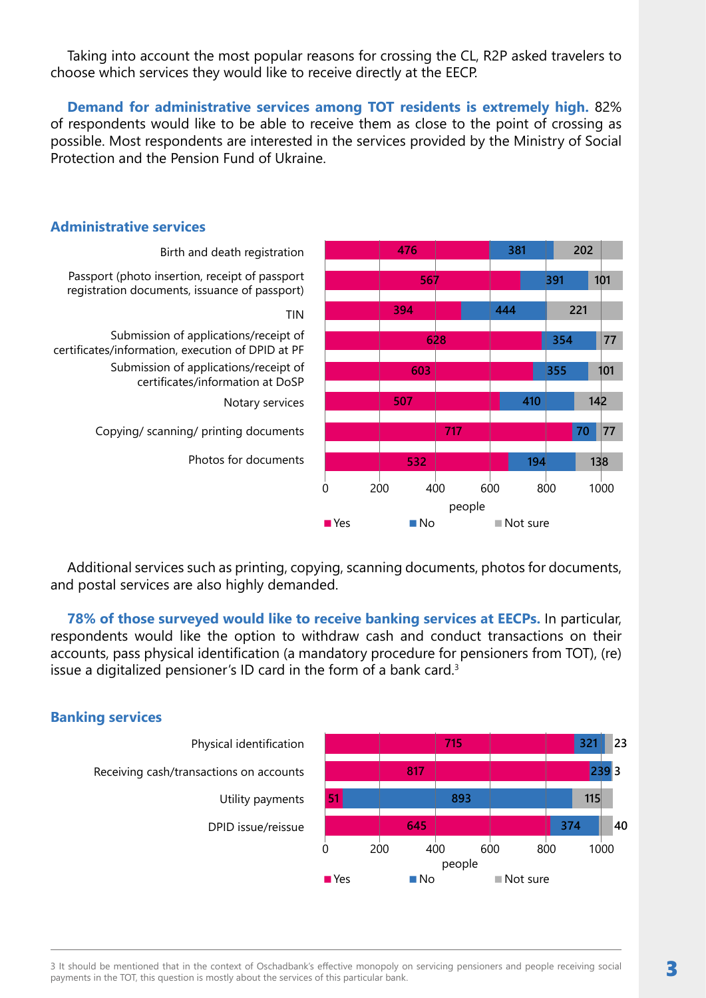Taking into account the most popular reasons for crossing the CL, R2P asked travelers to choose which services they would like to receive directly at the EECP.

**Demand for administrative services among TOT residents is extremely high.** 82% of respondents would like to be able to receive them as close to the point of crossing as possible. Most respondents are interested in the services provided by the Ministry of Social Protection and the Pension Fund of Ukraine.



# **Administrative services**

Additional services such as printing, copying, scanning documents, photos for documents, and postal services are also highly demanded.

**78% of those surveyed would like to receive banking services at EECPs.** In particular, respondents would like the option to withdraw cash and conduct transactions on their accounts, pass physical identification (a mandatory procedure for pensioners from TOT), (re) issue a digitalized pensioner's ID card in the form of a bank card.<sup>3</sup>



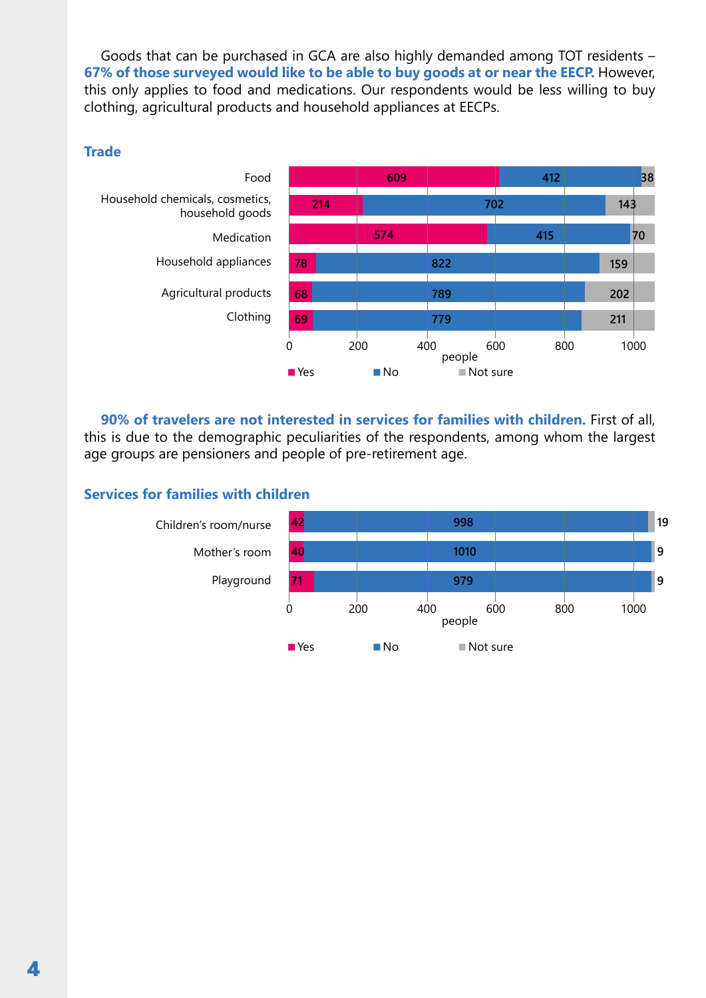Goods that can be purchased in GCA are also highly demanded among TOT residents – **67% of those surveyed would like to be able to buy goods at or near the EECP.** However, this only applies to food and medications. Our respondents would be less willing to buy clothing, agricultural products and household appliances at EECPs.

### **Trade**



**90% of travelers are not interested in services for families with children.** First of all, this is due to the demographic peculiarities of the respondents, among whom the largest age groups are pensioners and people of pre-retirement age.

# **Services for families with children**

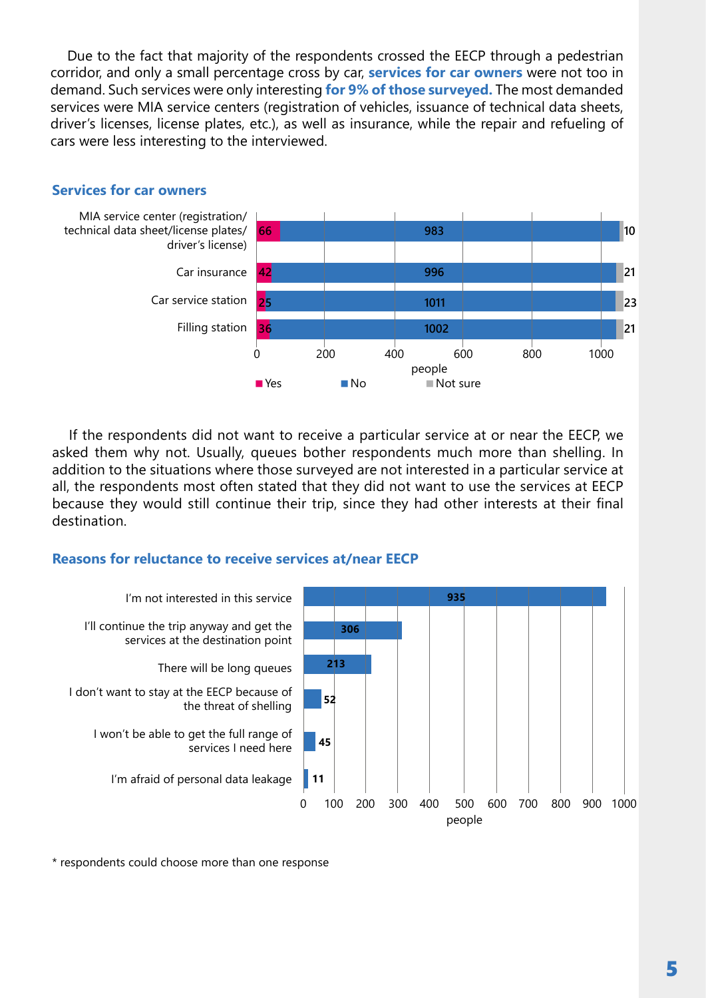Due to the fact that majority of the respondents crossed the EECP through a pedestrian corridor, and only a small percentage cross by car, **services for car owners** were not too in demand. Such services were only interesting **for 9% of those surveyed.** The most demanded services were MIA service centers (registration of vehicles, issuance of technical data sheets, driver's licenses, license plates, etc.), as well as insurance, while the repair and refueling of cars were less interesting to the interviewed.



### **Services for car owners**

If the respondents did not want to receive a particular service at or near the EECP, we asked them why not. Usually, queues bother respondents much more than shelling. In addition to the situations where those surveyed are not interested in a particular service at all, the respondents most often stated that they did not want to use the services at EECP because they would still continue their trip, since they had other interests at their final destination.

# **Reasons for reluctance to receive services at/near EECP**



\* respondents could choose more than one response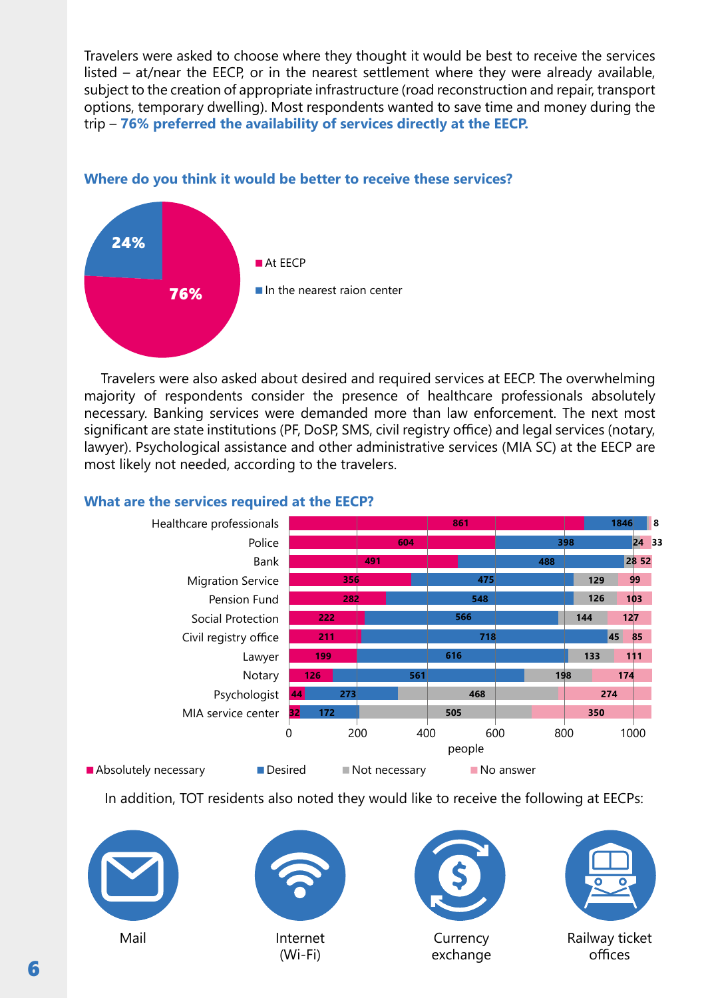Travelers were asked to choose where they thought it would be best to receive the services listed – at/near the EECP, or in the nearest settlement where they were already available, subject to the creation of appropriate infrastructure (road reconstruction and repair, transport options, temporary dwelling). Most respondents wanted to save time and money during the trip – **76% preferred the availability of services directly at the EECP.**

# **Where do you think it would be better to receive these services?**



Travelers were also asked about desired and required services at EECP. The overwhelming majority of respondents consider the presence of healthcare professionals absolutely necessary. Banking services were demanded more than law enforcement. The next most significant are state institutions (PF, DoSP, SMS, civil registry office) and legal services (notary, lawyer). Psychological assistance and other administrative services (MIA SC) at the EECP are most likely not needed, according to the travelers.

# **What are the services required at the EECP?**



In addition, TOT residents also noted they would like to receive the following at EECPs:





(Wi-Fi)



**Currency** exchange



Railway ticket offices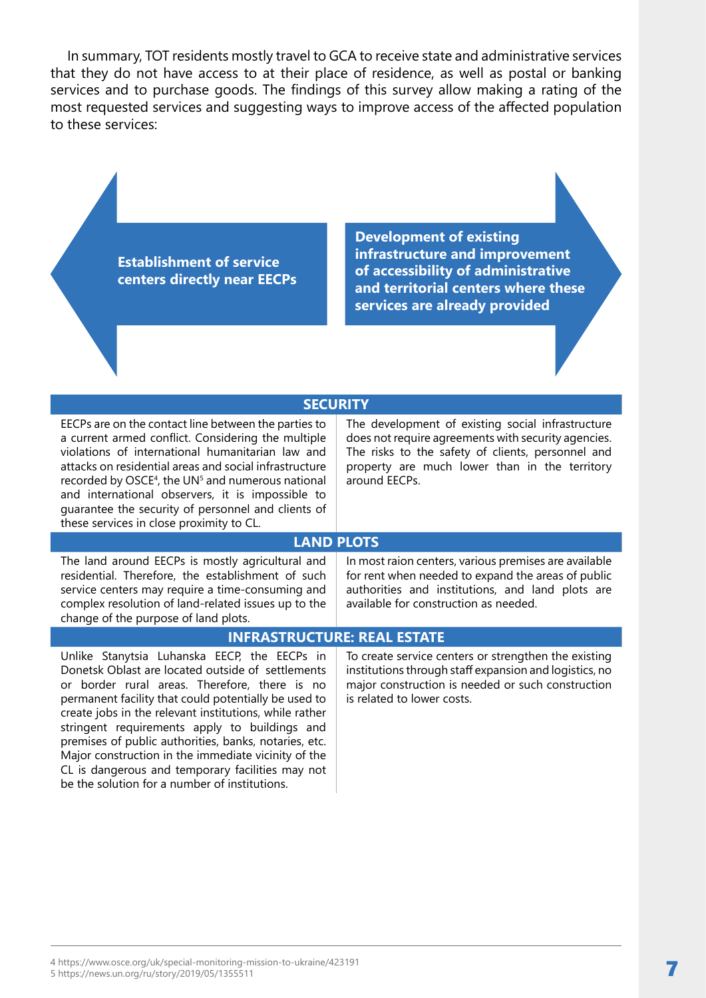In summary, TOT residents mostly travel to GCA to receive state and administrative services that they do not have access to at their place of residence, as well as postal or banking services and to purchase goods. The findings of this survey allow making a rating of the most requested services and suggesting ways to improve access of the affected population to these services:

> **Establishment of service centers directly near EECPs**

**Development of existing infrastructure and improvement of accessibility of administrative and territorial centers where these services are already provided**

#### **SECURITY**

EECPs are on the contact line between the parties to a current armed conflict. Considering the multiple violations of international humanitarian law and attacks on residential areas and social infrastructure recorded by OSCE<sup>4</sup>, the UN<sup>5</sup> and numerous national and international observers, it is impossible to guarantee the security of personnel and clients of these services in close proximity to CL.

The development of existing social infrastructure does not require agreements with security agencies. The risks to the safety of clients, personnel and property are much lower than in the territory around EECPs.

#### **LAND PLOTS**

The land around EECPs is mostly agricultural and residential. Therefore, the establishment of such service centers may require a time-consuming and complex resolution of land-related issues up to the change of the purpose of land plots.

In most raion centers, various premises are available for rent when needed to expand the areas of public authorities and institutions, and land plots are available for construction as needed.

### **INFRASTRUCTURE: REAL ESTATE**

Unlike Stanytsia Luhanska EECP, the EECPs in Donetsk Oblast are located outside of settlements or border rural areas. Therefore, there is no permanent facility that could potentially be used to create jobs in the relevant institutions, while rather stringent requirements apply to buildings and premises of public authorities, banks, notaries, etc. Major construction in the immediate vicinity of the CL is dangerous and temporary facilities may not be the solution for a number of institutions.

To create service centers or strengthen the existing institutions through staff expansion and logistics, no major construction is needed or such construction is related to lower costs.

4 https://www.osce.org/uk/special-monitoring-mission-to-ukraine/423191 5 https://news.un.org/ru/story/2019/05/1355511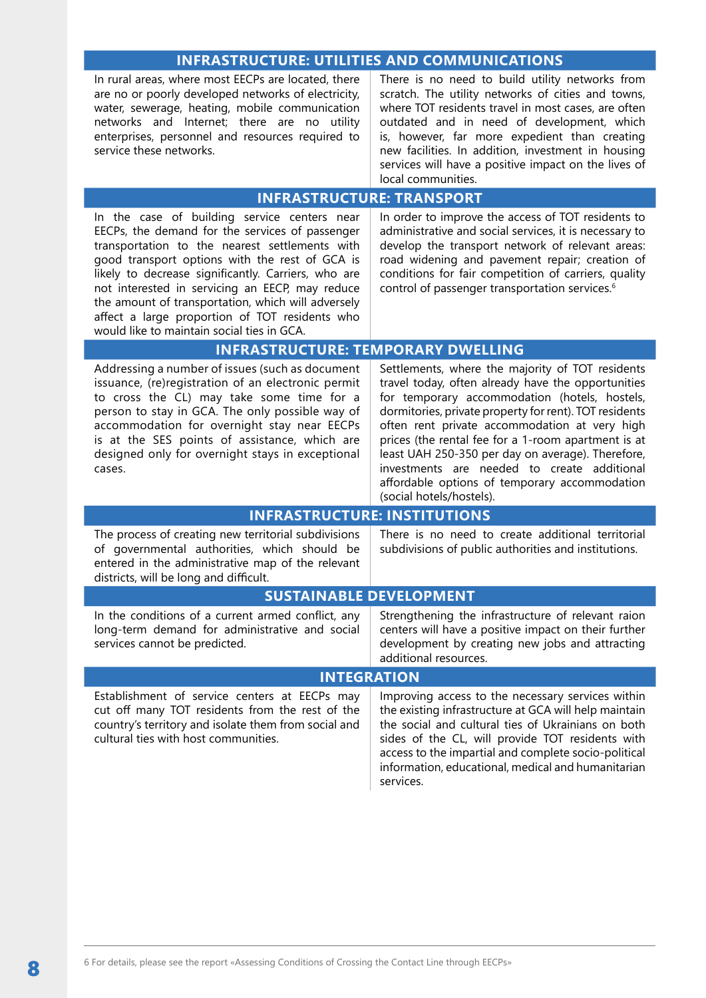### **INFRASTRUCTURE: UTILITIES AND COMMUNICATIONS**

In rural areas, where most EECPs are located, there are no or poorly developed networks of electricity, water, sewerage, heating, mobile communication networks and Internet; there are no utility enterprises, personnel and resources required to service these networks.

There is no need to build utility networks from scratch. The utility networks of cities and towns, where TOT residents travel in most cases, are often outdated and in need of development, which is, however, far more expedient than creating new facilities. In addition, investment in housing services will have a positive impact on the lives of local communities.

### **INFRASTRUCTURE: TRANSPORT**

In the case of building service centers near EECPs, the demand for the services of passenger transportation to the nearest settlements with good transport options with the rest of GCA is likely to decrease significantly. Carriers, who are not interested in servicing an EECP, may reduce the amount of transportation, which will adversely affect a large proportion of TOT residents who would like to maintain social ties in GCA.

In order to improve the access of TOT residents to administrative and social services, it is necessary to develop the transport network of relevant areas: road widening and pavement repair; creation of conditions for fair competition of carriers, quality control of passenger transportation services.<sup>6</sup>

#### **INFRASTRUCTURE: TEMPORARY DWELLING**

Addressing a number of issues (such as document issuance, (re)registration of an electronic permit to cross the CL) may take some time for a person to stay in GCA. The only possible way of accommodation for overnight stay near EECPs is at the SES points of assistance, which are designed only for overnight stays in exceptional cases.

Settlements, where the majority of TOT residents travel today, often already have the opportunities for temporary accommodation (hotels, hostels, dormitories, private property for rent). TOT residents often rent private accommodation at very high prices (the rental fee for a 1-room apartment is at least UAH 250-350 per day on average). Therefore, investments are needed to create additional affordable options of temporary accommodation (social hotels/hostels).

#### **INFRASTRUCTURE: INSTITUTIONS**

| The process of creating new territorial subdivisions<br>of governmental authorities, which should be<br>entered in the administrative map of the relevant<br>districts, will be long and difficult.                               | There is no need to create additional territorial<br>subdivisions of public authorities and institutions. |  |  |  |
|-----------------------------------------------------------------------------------------------------------------------------------------------------------------------------------------------------------------------------------|-----------------------------------------------------------------------------------------------------------|--|--|--|
| <b>SUSTAINABLE DEVELOPMENT</b>                                                                                                                                                                                                    |                                                                                                           |  |  |  |
| $\mathbf{r}$ , and the contract of the contract of the contract of the contract of the contract of the contract of the contract of the contract of the contract of the contract of the contract of the contract of the contract o |                                                                                                           |  |  |  |

In the conditions of a current armed conflict, any long-term demand for administrative and social services cannot be predicted.

Strengthening the infrastructure of relevant raion centers will have a positive impact on their further development by creating new jobs and attracting additional resources.

#### **INTEGRATION**

Establishment of service centers at EECPs may cut off many TOT residents from the rest of the country's territory and isolate them from social and cultural ties with host communities.

Improving access to the necessary services within the existing infrastructure at GCA will help maintain the social and cultural ties of Ukrainians on both sides of the CL, will provide TOT residents with access to the impartial and complete socio-political information, educational, medical and humanitarian services.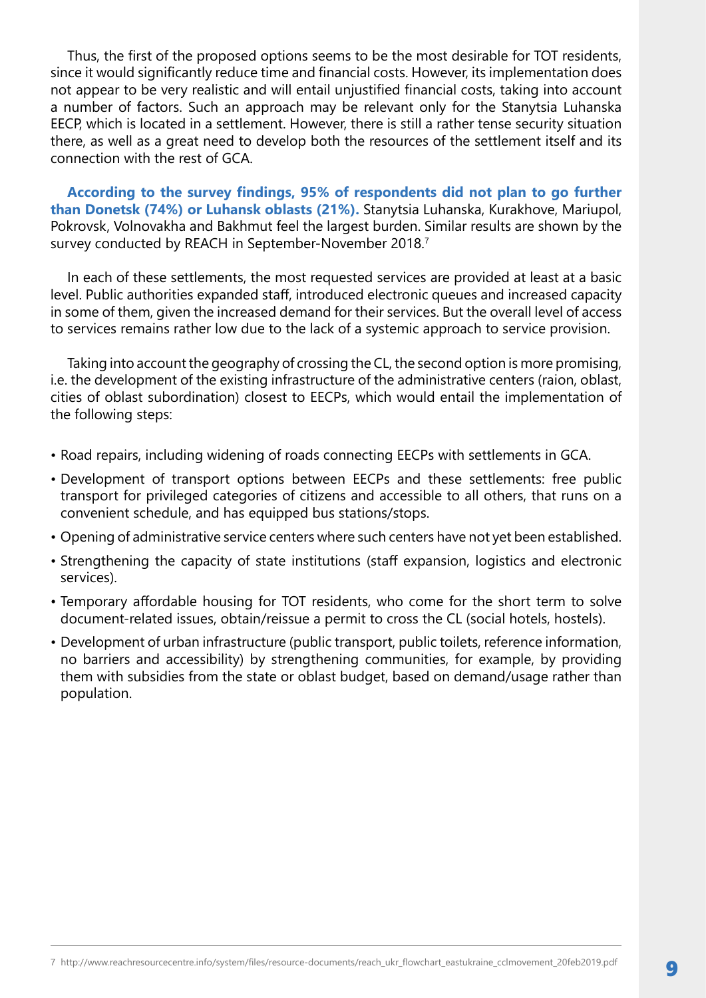Thus, the first of the proposed options seems to be the most desirable for TOT residents, since it would significantly reduce time and financial costs. However, its implementation does not appear to be very realistic and will entail unjustified financial costs, taking into account a number of factors. Such an approach may be relevant only for the Stanytsia Luhanska EECP, which is located in a settlement. However, there is still a rather tense security situation there, as well as a great need to develop both the resources of the settlement itself and its connection with the rest of GCA.

**According to the survey findings, 95% of respondents did not plan to go further than Donetsk (74%) or Luhansk oblasts (21%).** Stanytsia Luhanska, Kurakhove, Mariupol, Pokrovsk, Volnovakha and Bakhmut feel the largest burden. Similar results are shown by the survey conducted by REACH in September-November 2018.<sup>7</sup>

In each of these settlements, the most requested services are provided at least at a basic level. Public authorities expanded staff, introduced electronic queues and increased capacity in some of them, given the increased demand for their services. But the overall level of access to services remains rather low due to the lack of a systemic approach to service provision.

Taking into account the geography of crossing the CL, the second option is more promising, i.e. the development of the existing infrastructure of the administrative centers (raion, oblast, cities of oblast subordination) closest to EECPs, which would entail the implementation of the following steps:

- Road repairs, including widening of roads connecting EECPs with settlements in GCA.
- Development of transport options between EECPs and these settlements: free public transport for privileged categories of citizens and accessible to all others, that runs on a convenient schedule, and has equipped bus stations/stops.
- Opening of administrative service centers where such centers have not yet been established.
- Strengthening the capacity of state institutions (staff expansion, logistics and electronic services).
- Temporary affordable housing for TOT residents, who come for the short term to solve document-related issues, obtain/reissue a permit to cross the CL (social hotels, hostels).
- Development of urban infrastructure (public transport, public toilets, reference information, no barriers and accessibility) by strengthening communities, for example, by providing them with subsidies from the state or oblast budget, based on demand/usage rather than population.